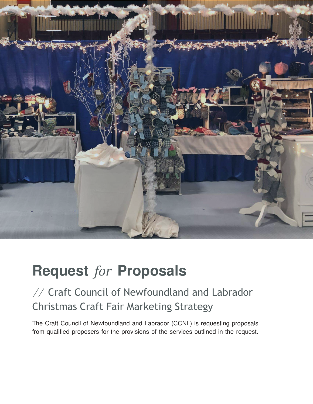

# **Request** *for* **Proposals**

## // Craft Council of Newfoundland and Labrador Christmas Craft Fair Marketing Strategy

The Craft Council of Newfoundland and Labrador (CCNL) is requesting proposals from qualified proposers for the provisions of the services outlined in the request.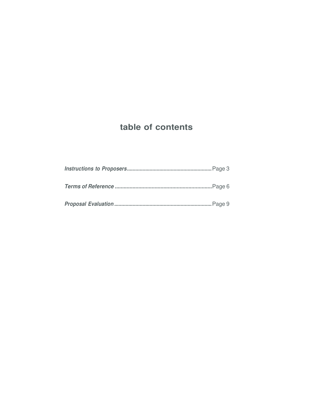## **table of contents**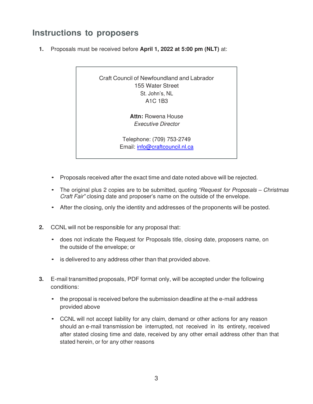### **Instructions to proposers**

**1.** Proposals must be received before **April 1, 2022 at 5:00 pm (NLT)** at:

Craft Council of Newfoundland and Labrador 155 Water Street St. John's, NL A1C 1B3

> **Attn:** Rowena House Executive Director

Telephone: (709) 753-2749 Email: [info@craftcouncil.nl.ca](mailto:info@craftcouncil.nl.ca)

- Proposals received after the exact time and date noted above will be rejected.
- The original plus 2 copies are to be submitted, quoting *"Request* for Proposals *–* Christmas Craft Fair*"* closing date and proposer's name on the outside of the envelope.
- After the closing, only the identity and addresses of the proponents will be posted.
- **2.** CCNL will not be responsible for any proposal that:
	- does not indicate the Request for Proposals title, closing date, proposers name, on the outside of the envelope; or
	- is delivered to any address other than that provided above.
- **3.** E-mail transmitted proposals, PDF format only, will be accepted under the following conditions:
	- the proposal is received before the submission deadline at the e-mail address provided above
	- CCNL will not accept liability for any claim, demand or other actions for any reason should an e-mail transmission be interrupted, not received in its entirety, received after stated closing time and date, received by any other email address other than that stated herein, or for any other reasons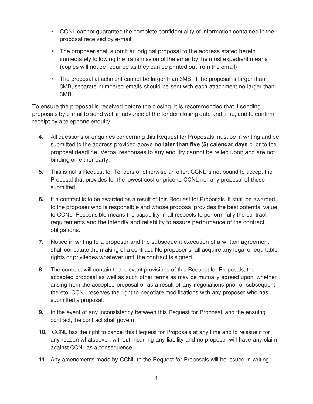- CCNL cannot guarantee the complete confidentiality of information contained in the proposal received by e-mail
- The proposer shall submit an original proposal to the address stated herein immediately following the transmission of the email by the most expedient means (copies will not be required as they can be printed out from the email)
- The proposal attachment cannot be larger than 3MB. If the proposal is larger than 3MB, separate numbered emails should be sent with each attachment no larger than 3MB.

To ensure the proposal is received before the closing, it is recommended that if sending proposals by e-mail to send well in advance of the tender closing date and time, and to confirm receipt by a telephone enquiry.

- **4.** All questions or enquiries concerning this Request for Proposals must be in writing and be submitted to the address provided above **no later than five (5) calendar days** prior to the proposal deadline. Verbal responses to any enquiry cannot be relied upon and are not binding on either party.
- **5.** This is not a Request for Tenders or otherwise an offer. CCNL is not bound to accept the Proposal that provides for the lowest cost or price to CCNL nor any proposal of those submitted.
- **6.** If a contract is to be awarded as a result of this Request for Proposals, it shall be awarded to the proposer who is responsible and whose proposal provides the best potential value to CCNL. Responsible means the capability in all respects to perform fully the contract requirements and the integrity and reliability to assure performance of the contract obligations.
- **7.** Notice in writing to a proposer and the subsequent execution of a written agreement shall constitute the making of a contract. No proposer shall acquire any legal or equitable rights or privileges whatever until the contract is signed.
- **8.** The contract will contain the relevant provisions of this Request for Proposals, the accepted proposal as well as such other terms as may be mutually agreed upon, whether arising from the accepted proposal or as a result of any negotiations prior or subsequent thereto. CCNL reserves the right to negotiate modifications with any proposer who has submitted a proposal.
- **9.** In the event of any inconsistency between this Request for Proposal, and the ensuing contract, the contract shall govern.
- **10.** CCNL has the right to cancel this Request for Proposals at any time and to reissue it for any reason whatsoever, without incurring any liability and no proposer will have any claim against CCNL as a consequence.
- **11.** Any amendments made by CCNL to the Request for Proposals will be issued in writing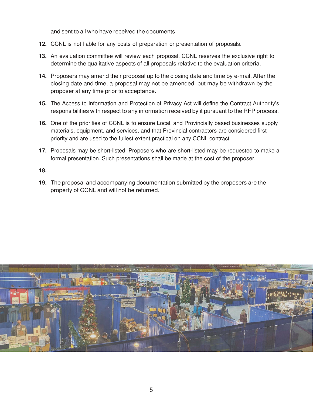and sent to all who have received the documents.

- **12.** CCNL is not liable for any costs of preparation or presentation of proposals.
- **13.** An evaluation committee will review each proposal. CCNL reserves the exclusive right to determine the qualitative aspects of all proposals relative to the evaluation criteria.
- **14.** Proposers may amend their proposal up to the closing date and time by e-mail. After the closing date and time, a proposal may not be amended, but may be withdrawn by the proposer at any time prior to acceptance.
- **15.** The Access to Information and Protection of Privacy Act will define the Contract Authority's responsibilities with respect to any information received by it pursuant to the RFP process.
- **16.** One of the priorities of CCNL is to ensure Local, and Provincially based businesses supply materials, equipment, and services, and that Provincial contractors are considered first priority and are used to the fullest extent practical on any CCNL contract.
- **17.** Proposals may be short-listed. Proposers who are short-listed may be requested to make a formal presentation. Such presentations shall be made at the cost of the proposer.

#### **18.**

**19.** The proposal and accompanying documentation submitted by the proposers are the property of CCNL and will not be returned.

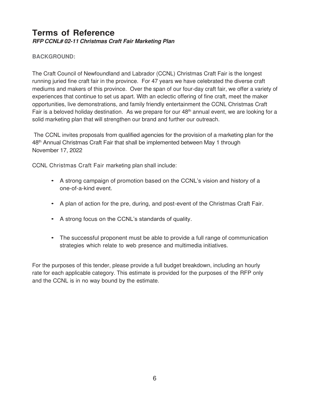#### **Terms of Reference RFP CCNL# 02-11 Christmas Craft Fair Marketing Plan**

#### **BACKGROUND:**

The Craft Council of Newfoundland and Labrador (CCNL) Christmas Craft Fair is the longest running juried fine craft fair in the province. For 47 years we have celebrated the diverse craft mediums and makers of this province. Over the span of our four-day craft fair, we offer a variety of experiences that continue to set us apart. With an eclectic offering of fine craft, meet the maker opportunities, live demonstrations, and family friendly entertainment the CCNL Christmas Craft Fair is a beloved holiday destination. As we prepare for our 48<sup>th</sup> annual event, we are looking for a solid marketing plan that will strengthen our brand and further our outreach.

The CCNL invites proposals from qualified agencies for the provision of a marketing plan for the 48th Annual Christmas Craft Fair that shall be implemented between May 1 through November 17, 2022

CCNL Christmas Craft Fair marketing plan shall include:

- A strong campaign of promotion based on the CCNL's vision and history of a one-of-a-kind event.
- A plan of action for the pre, during, and post-event of the Christmas Craft Fair.
- A strong focus on the CCNL's standards of quality.
- The successful proponent must be able to provide a full range of communication strategies which relate to web presence and multimedia initiatives.

For the purposes of this tender, please provide a full budget breakdown, including an hourly rate for each applicable category. This estimate is provided for the purposes of the RFP only and the CCNL is in no way bound by the estimate.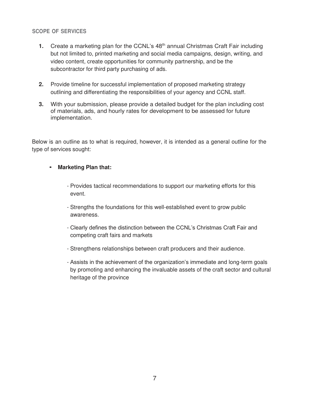#### **SCOPE OF SERVICES**

- **1.** Create a marketing plan for the CCNL's 48<sup>th</sup> annual Christmas Craft Fair including but not limited to, printed marketing and social media campaigns, design, writing, and video content, create opportunities for community partnership, and be the subcontractor for third party purchasing of ads.
- **2.** Provide timeline for successful implementation of proposed marketing strategy outlining and differentiating the responsibilities of your agency and CCNL staff.
- **3.** With your submission, please provide a detailed budget for the plan including cost of materials, ads, and hourly rates for development to be assessed for future implementation.

Below is an outline as to what is required, however, it is intended as a general outline for the type of services sought:

#### • **Marketing Plan that:**

- Provides tactical recommendations to support our marketing efforts for this event.
- Strengths the foundations for this well-established event to grow public awareness.
- Clearly defines the distinction between the CCNL's Christmas Craft Fair and competing craft fairs and markets
- Strengthens relationships between craft producers and their audience.
- Assists in the achievement of the organization's immediate and long-term goals by promoting and enhancing the invaluable assets of the craft sector and cultural heritage of the province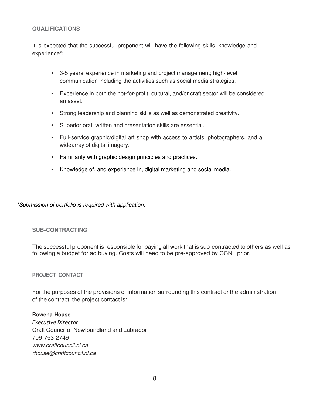#### **QUALIFICATIONS**

It is expected that the successful proponent will have the following skills, knowledge and experience\*:

- 3-5 years' experience in marketing and project management; high-level communication including the activities such as social media strategies.
- Experience in both the not-for-profit, cultural, and/or craft sector will be considered an asset.
- Strong leadership and planning skills as well as demonstrated creativity.
- Superior oral, written and presentation skills are essential.
- Full- service graphic/digital art shop with access to artists, photographers, and a wide array of digital imagery.
- Familiarity with graphic design principles and practices.
- Knowledge of, and experience in, digital marketing and social media.

\*Submission of portfolio is required with application.

#### **SUB-CONTRACTING**

The successful proponent is responsible for paying all work that is sub-contracted to others as well as following a budget for ad buying. Costs will need to be pre-approved by CCNL prior.

#### **PROJECT CONTACT**

For the purposes of the provisions of information surrounding this contract or the administration of the contract, the project contact is:

#### **Rowena House**

*Executive Director* Craft Council of Newfoundland and Labrador 709-753-2749 [www.craftcouncil.nl.ca](http://www.craftcouncil.nl.ca/) [rhouse@craftcouncil.nl.ca](mailto:rhouse@craftcouncil.nl.ca)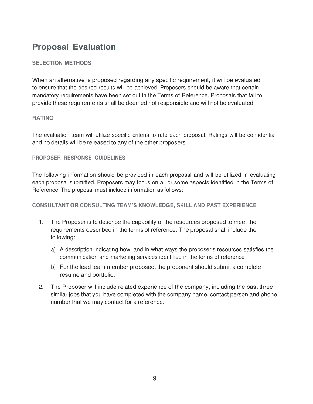## **Proposal Evaluation**

#### **SELECTION METHODS**

When an alternative is proposed regarding any specific requirement, it will be evaluated to ensure that the desired results will be achieved. Proposers should be aware that certain mandatory requirements have been set out in the Terms of Reference. Proposals that fail to provide these requirements shall be deemed not responsible and will not be evaluated.

#### **RATING**

The evaluation team will utilize specific criteria to rate each proposal. Ratings will be confidential and no details will be released to any of the other proposers.

#### **PROPOSER RESPONSE GUIDELINES**

The following information should be provided in each proposal and will be utilized in evaluating each proposal submitted. Proposers may focus on all or some aspects identified in the Terms of Reference. The proposal must include information as follows:

#### **CONSULTANT OR CONSULTING TEAM'S KNOWLEDGE, SKILL AND PAST EXPERIENCE**

- 1. The Proposer is to describe the capability of the resources proposed to meet the requirements described in the terms of reference. The proposal shall include the following:
	- a) A description indicating how, and in what ways the proposer's resources satisfies the communication and marketing services identified in the terms of reference
	- b) For the lead team member proposed, the proponent should submit a complete resume and portfolio.
- 2. The Proposer will include related experience of the company, including the past three similar jobs that you have completed with the company name, contact person and phone number that we may contact for a reference.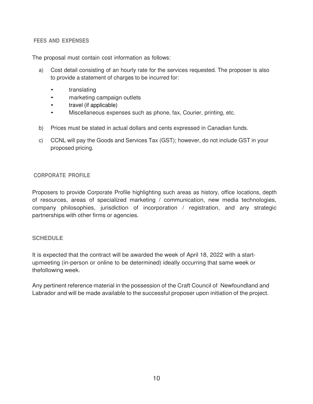#### **FEES AND EXPENSES**

The proposal must contain cost information as follows:

- a) Cost detail consisting of an hourly rate for the services requested. The proposer is also to provide a statement of charges to be incurred for:
	- translating
	- marketing campaign outlets
	- travel (if applicable)
	- Miscellaneous expenses such as phone, fax, Courier, printing, etc.
- b) Prices must be stated in actual dollars and cents expressed in Canadian funds.
- c) CCNL will pay the Goods and Services Tax (GST); however, do not include GST in your proposed pricing.

#### **CORPORATE PROFILE**

Proposers to provide Corporate Profile highlighting such areas as history, office locations, depth of resources, areas of specialized marketing / communication, new media technologies, company philosophies, jurisdiction of incorporation / registration, and any strategic partnerships with other firms or agencies.

#### **SCHEDULE**

It is expected that the contract will be awarded the week of April 18, 2022 with a startup meeting (in-person or online to be determined) ideally occurring that same week or the following week.

Any pertinent reference material in the possession of the Craft Council of Newfoundland and Labrador and will be made available to the successful proposer upon initiation of the project.